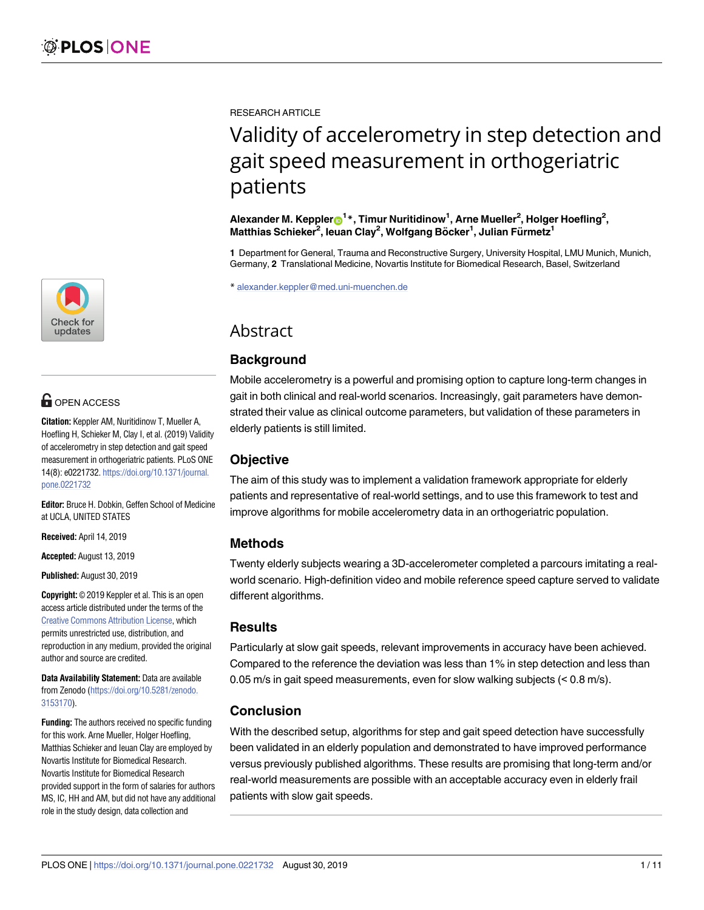

# **OPEN ACCESS**

**Citation:** Keppler AM, Nuritidinow T, Mueller A, Hoefling H, Schieker M, Clay I, et al. (2019) Validity of accelerometry in step detection and gait speed measurement in orthogeriatric patients. PLoS ONE 14(8): e0221732. [https://doi.org/10.1371/journal.](https://doi.org/10.1371/journal.pone.0221732) [pone.0221732](https://doi.org/10.1371/journal.pone.0221732)

**Editor:** Bruce H. Dobkin, Geffen School of Medicine at UCLA, UNITED STATES

**Received:** April 14, 2019

**Accepted:** August 13, 2019

**Published:** August 30, 2019

**Copyright:** © 2019 Keppler et al. This is an open access article distributed under the terms of the Creative Commons [Attribution](http://creativecommons.org/licenses/by/4.0/) License, which permits unrestricted use, distribution, and reproduction in any medium, provided the original author and source are credited.

**Data Availability Statement:** Data are available from Zenodo ([https://doi.org/10.5281/zenodo.](https://doi.org/10.5281/zenodo.3153170) [3153170\)](https://doi.org/10.5281/zenodo.3153170).

**Funding:** The authors received no specific funding for this work. Arne Mueller, Holger Hoefling, Matthias Schieker and Ieuan Clay are employed by Novartis Institute for Biomedical Research. Novartis Institute for Biomedical Research provided support in the form of salaries for authors MS, IC, HH and AM, but did not have any additional role in the study design, data collection and

RESEARCH ARTICLE

# Validity of accelerometry in step detection and gait speed measurement in orthogeriatric patients

 $^{\text{1}}$  Alexander M. Keppler $\bullet$ <sup>1</sup> \*, Timur Nuritidinow<sup>1</sup>, Arne Mueller<sup>2</sup>, Holger Hoefling<sup>2</sup>, **Matthias Schieker2 , Ieuan Clay2 , Wolfgang Bo¨cker1 , Julian Fu¨rmetz1**

**1** Department for General, Trauma and Reconstructive Surgery, University Hospital, LMU Munich, Munich, Germany, **2** Translational Medicine, Novartis Institute for Biomedical Research, Basel, Switzerland

\* alexander.keppler@med.uni-muenchen.de

# Abstract

# **Background**

Mobile accelerometry is a powerful and promising option to capture long-term changes in gait in both clinical and real-world scenarios. Increasingly, gait parameters have demonstrated their value as clinical outcome parameters, but validation of these parameters in elderly patients is still limited.

# **Objective**

The aim of this study was to implement a validation framework appropriate for elderly patients and representative of real-world settings, and to use this framework to test and improve algorithms for mobile accelerometry data in an orthogeriatric population.

# **Methods**

Twenty elderly subjects wearing a 3D-accelerometer completed a parcours imitating a realworld scenario. High-definition video and mobile reference speed capture served to validate different algorithms.

# **Results**

Particularly at slow gait speeds, relevant improvements in accuracy have been achieved. Compared to the reference the deviation was less than 1% in step detection and less than 0.05 m/s in gait speed measurements, even for slow walking subjects (< 0.8 m/s).

# **Conclusion**

With the described setup, algorithms for step and gait speed detection have successfully been validated in an elderly population and demonstrated to have improved performance versus previously published algorithms. These results are promising that long-term and/or real-world measurements are possible with an acceptable accuracy even in elderly frail patients with slow gait speeds.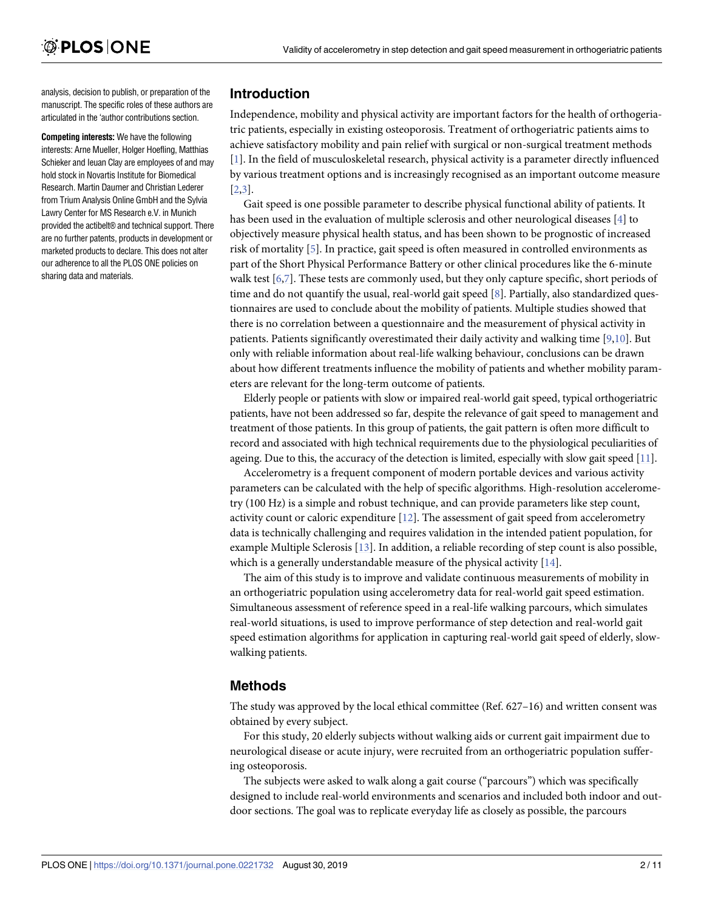<span id="page-1-0"></span>analysis, decision to publish, or preparation of the manuscript. The specific roles of these authors are articulated in the 'author contributions section.

**Competing interests:** We have the following interests: Arne Mueller, Holger Hoefling, Matthias Schieker and Ieuan Clay are employees of and may hold stock in Novartis Institute for Biomedical Research. Martin Daumer and Christian Lederer from Trium Analysis Online GmbH and the Sylvia Lawry Center for MS Research e.V. in Munich provided the actibelt® and technical support. There are no further patents, products in development or marketed products to declare. This does not alter our adherence to all the PLOS ONE policies on sharing data and materials.

# **Introduction**

Independence, mobility and physical activity are important factors for the health of orthogeriatric patients, especially in existing osteoporosis. Treatment of orthogeriatric patients aims to achieve satisfactory mobility and pain relief with surgical or non-surgical treatment methods [\[1](#page-8-0)]. In the field of musculoskeletal research, physical activity is a parameter directly influenced by various treatment options and is increasingly recognised as an important outcome measure [\[2,3](#page-8-0)].

Gait speed is one possible parameter to describe physical functional ability of patients. It has been used in the evaluation of multiple sclerosis and other neurological diseases [\[4\]](#page-8-0) to objectively measure physical health status, and has been shown to be prognostic of increased risk of mortality [[5\]](#page-8-0). In practice, gait speed is often measured in controlled environments as part of the Short Physical Performance Battery or other clinical procedures like the 6-minute walk test [\[6](#page-8-0)[,7\]](#page-9-0). These tests are commonly used, but they only capture specific, short periods of time and do not quantify the usual, real-world gait speed [\[8\]](#page-9-0). Partially, also standardized questionnaires are used to conclude about the mobility of patients. Multiple studies showed that there is no correlation between a questionnaire and the measurement of physical activity in patients. Patients significantly overestimated their daily activity and walking time [[9](#page-9-0),[10](#page-9-0)]. But only with reliable information about real-life walking behaviour, conclusions can be drawn about how different treatments influence the mobility of patients and whether mobility parameters are relevant for the long-term outcome of patients.

Elderly people or patients with slow or impaired real-world gait speed, typical orthogeriatric patients, have not been addressed so far, despite the relevance of gait speed to management and treatment of those patients. In this group of patients, the gait pattern is often more difficult to record and associated with high technical requirements due to the physiological peculiarities of ageing. Due to this, the accuracy of the detection is limited, especially with slow gait speed [[11](#page-9-0)].

Accelerometry is a frequent component of modern portable devices and various activity parameters can be calculated with the help of specific algorithms. High-resolution accelerometry (100 Hz) is a simple and robust technique, and can provide parameters like step count, activity count or caloric expenditure  $[12]$  $[12]$  $[12]$ . The assessment of gait speed from accelerometry data is technically challenging and requires validation in the intended patient population, for example Multiple Sclerosis [[13](#page-9-0)]. In addition, a reliable recording of step count is also possible, which is a generally understandable measure of the physical activity [[14](#page-9-0)].

The aim of this study is to improve and validate continuous measurements of mobility in an orthogeriatric population using accelerometry data for real-world gait speed estimation. Simultaneous assessment of reference speed in a real-life walking parcours, which simulates real-world situations, is used to improve performance of step detection and real-world gait speed estimation algorithms for application in capturing real-world gait speed of elderly, slowwalking patients.

# **Methods**

The study was approved by the local ethical committee (Ref. 627–16) and written consent was obtained by every subject.

For this study, 20 elderly subjects without walking aids or current gait impairment due to neurological disease or acute injury, were recruited from an orthogeriatric population suffering osteoporosis.

The subjects were asked to walk along a gait course ("parcours") which was specifically designed to include real-world environments and scenarios and included both indoor and outdoor sections. The goal was to replicate everyday life as closely as possible, the parcours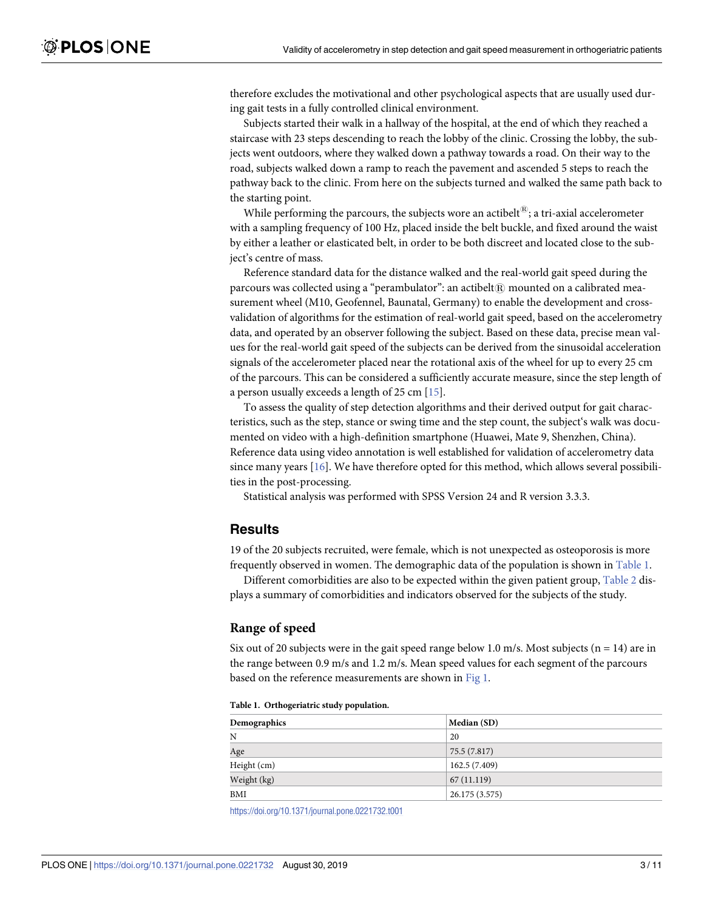<span id="page-2-0"></span>therefore excludes the motivational and other psychological aspects that are usually used during gait tests in a fully controlled clinical environment.

Subjects started their walk in a hallway of the hospital, at the end of which they reached a staircase with 23 steps descending to reach the lobby of the clinic. Crossing the lobby, the subjects went outdoors, where they walked down a pathway towards a road. On their way to the road, subjects walked down a ramp to reach the pavement and ascended 5 steps to reach the pathway back to the clinic. From here on the subjects turned and walked the same path back to the starting point.

While performing the parcours, the subjects wore an actibelt<sup>®</sup>; a tri-axial accelerometer with a sampling frequency of 100 Hz, placed inside the belt buckle, and fixed around the waist by either a leather or elasticated belt, in order to be both discreet and located close to the subject's centre of mass.

Reference standard data for the distance walked and the real-world gait speed during the parcours was collected using a "perambulator": an actibelt $\mathbb R$  mounted on a calibrated measurement wheel (M10, Geofennel, Baunatal, Germany) to enable the development and crossvalidation of algorithms for the estimation of real-world gait speed, based on the accelerometry data, and operated by an observer following the subject. Based on these data, precise mean values for the real-world gait speed of the subjects can be derived from the sinusoidal acceleration signals of the accelerometer placed near the rotational axis of the wheel for up to every 25 cm of the parcours. This can be considered a sufficiently accurate measure, since the step length of a person usually exceeds a length of 25 cm [[15](#page-9-0)].

To assess the quality of step detection algorithms and their derived output for gait characteristics, such as the step, stance or swing time and the step count, the subject's walk was documented on video with a high-definition smartphone (Huawei, Mate 9, Shenzhen, China). Reference data using video annotation is well established for validation of accelerometry data since many years [\[16\]](#page-9-0). We have therefore opted for this method, which allows several possibilities in the post-processing.

Statistical analysis was performed with SPSS Version 24 and R version 3.3.3.

#### **Results**

19 of the 20 subjects recruited, were female, which is not unexpected as osteoporosis is more frequently observed in women. The demographic data of the population is shown in Table 1.

Different comorbidities are also to be expected within the given patient group, [Table](#page-3-0) 2 displays a summary of comorbidities and indicators observed for the subjects of the study.

#### **Range of speed**

Six out of 20 subjects were in the gait speed range below 1.0 m/s. Most subjects ( $n = 14$ ) are in the range between 0.9 m/s and 1.2 m/s. Mean speed values for each segment of the parcours based on the reference measurements are shown in [Fig](#page-3-0) 1.

|  | Table 1. Orthogeriatric study population. |  |
|--|-------------------------------------------|--|
|--|-------------------------------------------|--|

| Demographics | Median (SD)    |  |
|--------------|----------------|--|
| N            | 20             |  |
| Age          | 75.5 (7.817)   |  |
| Height (cm)  | 162.5(7.409)   |  |
| Weight (kg)  | 67(11.119)     |  |
| BMI          | 26.175 (3.575) |  |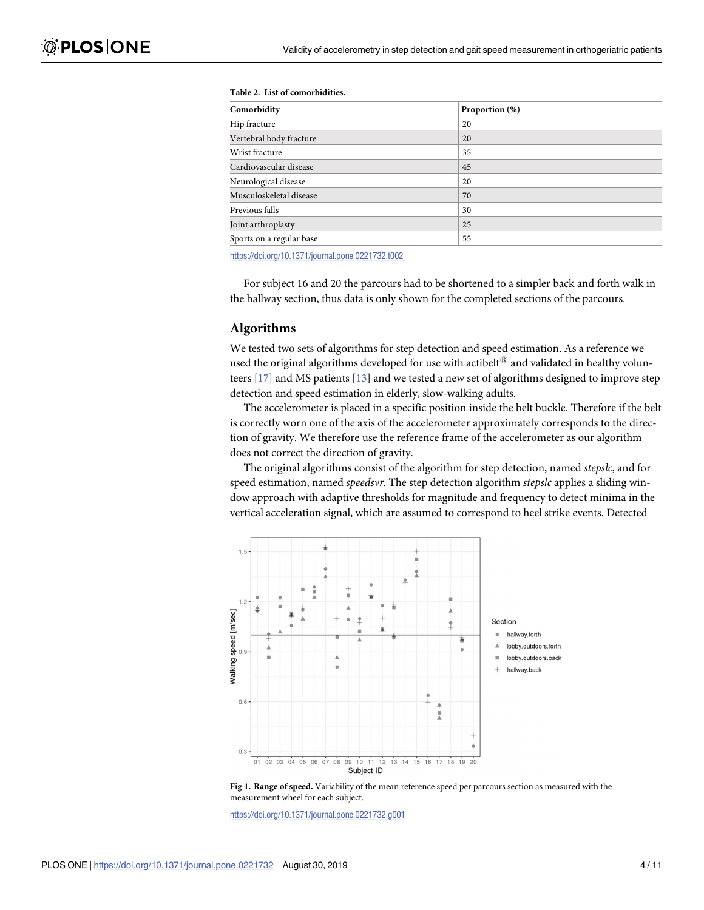| Comorbidity              | Proportion (%) |
|--------------------------|----------------|
| Hip fracture             | 20             |
| Vertebral body fracture  | 20             |
| Wrist fracture           | 35             |
| Cardiovascular disease   | 45             |
| Neurological disease     | 20             |
| Musculoskeletal disease  | 70             |
| Previous falls           | 30             |
| Joint arthroplasty       | 25             |
| Sports on a regular base | 55             |

#### <span id="page-3-0"></span>**[Table](#page-2-0) 2. List of comorbidities.**

<https://doi.org/10.1371/journal.pone.0221732.t002>

For subject 16 and 20 the parcours had to be shortened to a simpler back and forth walk in the hallway section, thus data is only shown for the completed sections of the parcours.

#### **Algorithms**

We tested two sets of algorithms for step detection and speed estimation. As a reference we used the original algorithms developed for use with actibelt $^{\circledR}$  and validated in healthy volunteers [\[17\]](#page-9-0) and MS patients [[13](#page-9-0)] and we tested a new set of algorithms designed to improve step detection and speed estimation in elderly, slow-walking adults.

The accelerometer is placed in a specific position inside the belt buckle. Therefore if the belt is correctly worn one of the axis of the accelerometer approximately corresponds to the direction of gravity. We therefore use the reference frame of the accelerometer as our algorithm does not correct the direction of gravity.

The original algorithms consist of the algorithm for step detection, named *stepslc*, and for speed estimation, named *speedsvr*. The step detection algorithm *stepslc* applies a sliding window approach with adaptive thresholds for magnitude and frequency to detect minima in the vertical acceleration signal, which are assumed to correspond to heel strike events. Detected



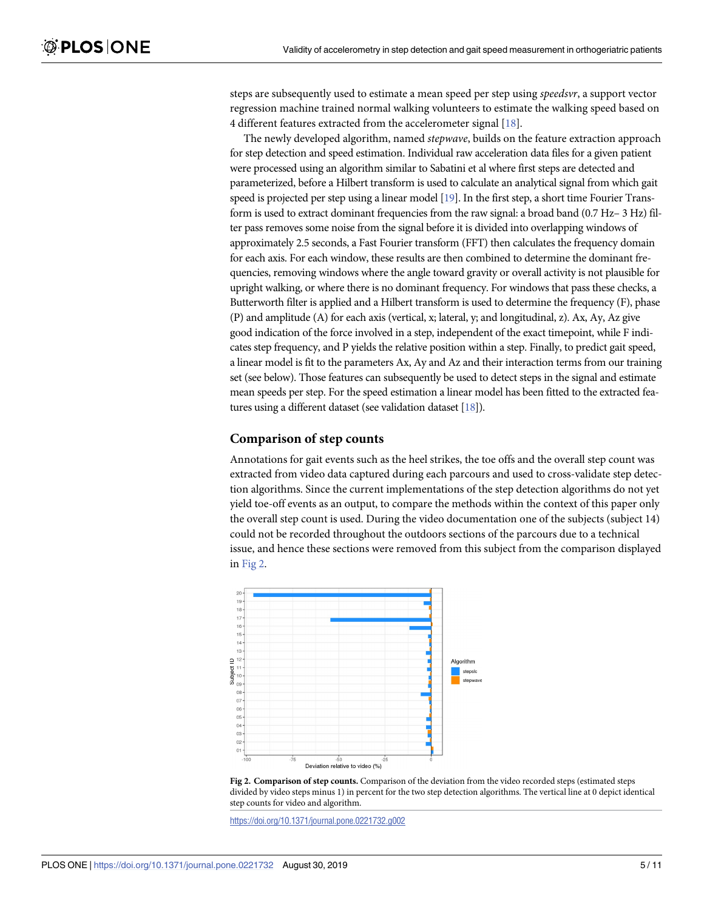<span id="page-4-0"></span>steps are subsequently used to estimate a mean speed per step using *speedsvr*, a support vector regression machine trained normal walking volunteers to estimate the walking speed based on 4 different features extracted from the accelerometer signal [\[18\]](#page-9-0).

The newly developed algorithm, named *stepwave*, builds on the feature extraction approach for step detection and speed estimation. Individual raw acceleration data files for a given patient were processed using an algorithm similar to Sabatini et al where first steps are detected and parameterized, before a Hilbert transform is used to calculate an analytical signal from which gait speed is projected per step using a linear model [\[19](#page-9-0)]. In the first step, a short time Fourier Transform is used to extract dominant frequencies from the raw signal: a broad band (0.7 Hz– 3 Hz) filter pass removes some noise from the signal before it is divided into overlapping windows of approximately 2.5 seconds, a Fast Fourier transform (FFT) then calculates the frequency domain for each axis. For each window, these results are then combined to determine the dominant frequencies, removing windows where the angle toward gravity or overall activity is not plausible for upright walking, or where there is no dominant frequency. For windows that pass these checks, a Butterworth filter is applied and a Hilbert transform is used to determine the frequency (F), phase (P) and amplitude (A) for each axis (vertical, x; lateral, y; and longitudinal, z). Ax, Ay, Az give good indication of the force involved in a step, independent of the exact timepoint, while F indicates step frequency, and P yields the relative position within a step. Finally, to predict gait speed, a linear model is fit to the parameters Ax, Ay and Az and their interaction terms from our training set (see below). Those features can subsequently be used to detect steps in the signal and estimate mean speeds per step. For the speed estimation a linear model has been fitted to the extracted features using a different dataset (see validation dataset [\[18](#page-9-0)]).

#### **Comparison of step counts**

Annotations for gait events such as the heel strikes, the toe offs and the overall step count was extracted from video data captured during each parcours and used to cross-validate step detection algorithms. Since the current implementations of the step detection algorithms do not yet yield toe-off events as an output, to compare the methods within the context of this paper only the overall step count is used. During the video documentation one of the subjects (subject 14) could not be recorded throughout the outdoors sections of the parcours due to a technical issue, and hence these sections were removed from this subject from the comparison displayed in Fig 2.



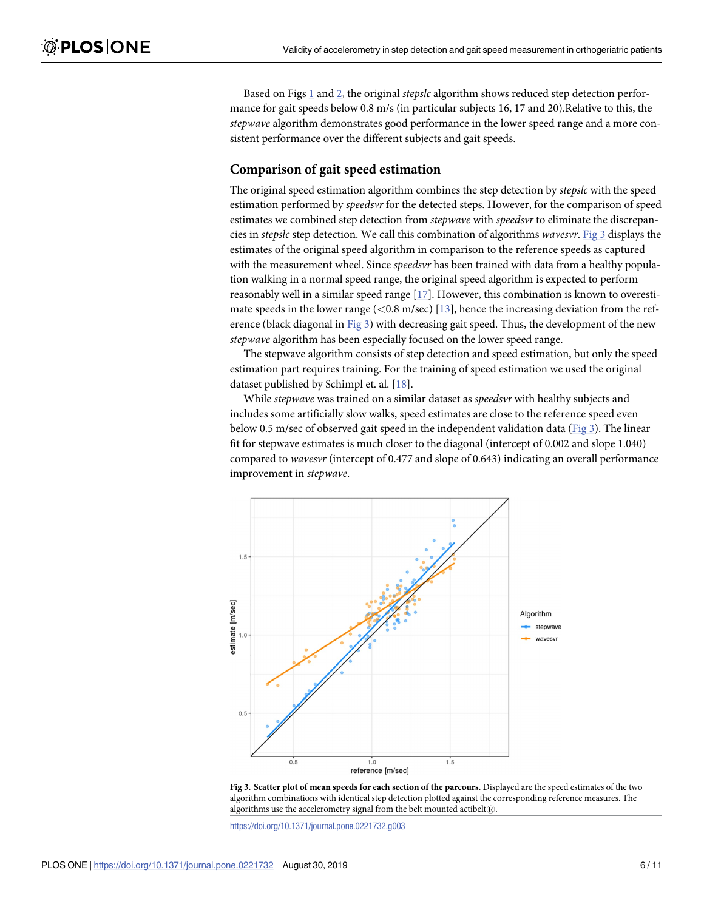<span id="page-5-0"></span>Based on Figs [1](#page-3-0) and [2,](#page-4-0) the original *stepslc* algorithm shows reduced step detection performance for gait speeds below 0.8 m/s (in particular subjects 16, 17 and 20).Relative to this, the *stepwave* algorithm demonstrates good performance in the lower speed range and a more consistent performance over the different subjects and gait speeds.

#### **Comparison of gait speed estimation**

The original speed estimation algorithm combines the step detection by *stepslc* with the speed estimation performed by *speedsvr* for the detected steps. However, for the comparison of speed estimates we combined step detection from *stepwave* with *speedsvr* to eliminate the discrepancies in *stepslc* step detection. We call this combination of algorithms *wavesvr*. Fig 3 displays the estimates of the original speed algorithm in comparison to the reference speeds as captured with the measurement wheel. Since *speedsvr* has been trained with data from a healthy population walking in a normal speed range, the original speed algorithm is expected to perform reasonably well in a similar speed range [[17](#page-9-0)]. However, this combination is known to overestimate speeds in the lower range (*<*0.8 m/sec) [\[13\]](#page-9-0), hence the increasing deviation from the reference (black diagonal in Fig 3) with decreasing gait speed. Thus, the development of the new *stepwave* algorithm has been especially focused on the lower speed range.

The stepwave algorithm consists of step detection and speed estimation, but only the speed estimation part requires training. For the training of speed estimation we used the original dataset published by Schimpl et. al. [\[18\]](#page-9-0).

While *stepwave* was trained on a similar dataset as *speedsvr* with healthy subjects and includes some artificially slow walks, speed estimates are close to the reference speed even below 0.5 m/sec of observed gait speed in the independent validation data ( $Fig 3$ ). The linear fit for stepwave estimates is much closer to the diagonal (intercept of 0.002 and slope 1.040) compared to *wavesvr* (intercept of 0.477 and slope of 0.643) indicating an overall performance improvement in *stepwave*.



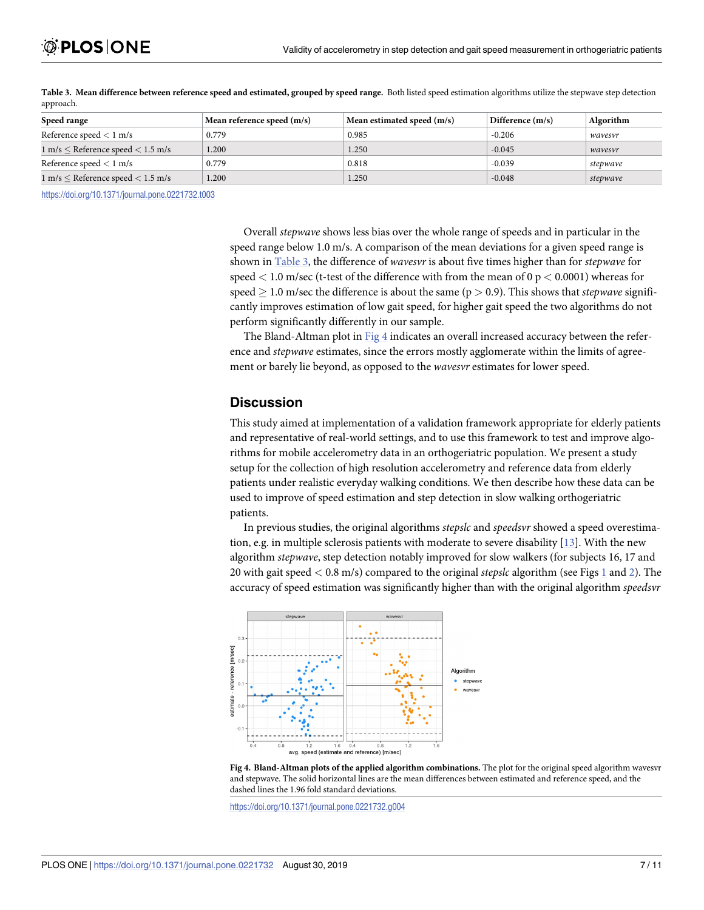| Speed range                                           | Mean reference speed $(m/s)$ | Mean estimated speed (m/s) | Difference (m/s) | Algorithm |  |  |  |  |
|-------------------------------------------------------|------------------------------|----------------------------|------------------|-----------|--|--|--|--|
| Reference speed $< 1$ m/s                             | 0.779                        | 0.985                      | $-0.206$         | wavesvr   |  |  |  |  |
| $1 \text{ m/s}$ < Reference speed $< 1.5 \text{ m/s}$ | 1.200                        | 1.250                      | $-0.045$         | wavesvr   |  |  |  |  |
| Reference speed $< 1$ m/s                             | 0.779                        | 0.818                      | $-0.039$         | stepwave  |  |  |  |  |
| $1 \text{ m/s}$ < Reference speed $< 1.5 \text{ m/s}$ | 1.200                        | 1.250                      | $-0.048$         | stepwave  |  |  |  |  |

<span id="page-6-0"></span>Table 3. Mean difference between reference speed and estimated, grouped by speed range. Both listed speed estimation algorithms utilize the stepwave step detection approach.

<https://doi.org/10.1371/journal.pone.0221732.t003>

Overall *stepwave* shows less bias over the whole range of speeds and in particular in the speed range below 1.0 m/s. A comparison of the mean deviations for a given speed range is shown in Table 3, the difference of *wavesvr* is about five times higher than for *stepwave* for speed *<* 1.0 m/sec (t-test of the difference with from the mean of 0 p *<* 0.0001) whereas for speed  $> 1.0$  m/sec the difference is about the same ( $p > 0.9$ ). This shows that *stepwave* significantly improves estimation of low gait speed, for higher gait speed the two algorithms do not perform significantly differently in our sample.

The Bland-Altman plot in Fig 4 indicates an overall increased accuracy between the reference and *stepwave* estimates, since the errors mostly agglomerate within the limits of agreement or barely lie beyond, as opposed to the *wavesvr* estimates for lower speed.

#### **Discussion**

This study aimed at implementation of a validation framework appropriate for elderly patients and representative of real-world settings, and to use this framework to test and improve algorithms for mobile accelerometry data in an orthogeriatric population. We present a study setup for the collection of high resolution accelerometry and reference data from elderly patients under realistic everyday walking conditions. We then describe how these data can be used to improve of speed estimation and step detection in slow walking orthogeriatric patients.

In previous studies, the original algorithms *stepslc* and *speedsvr* showed a speed overestimation, e.g. in multiple sclerosis patients with moderate to severe disability [[13\]](#page-9-0). With the new algorithm *stepwave*, step detection notably improved for slow walkers (for subjects 16, 17 and 20 with gait speed *<* 0.8 m/s) compared to the original *stepslc* algorithm (see Figs [1](#page-3-0) and [2](#page-4-0)). The accuracy of speed estimation was significantly higher than with the original algorithm *speedsvr*



**Fig 4. Bland-Altman plots of the applied algorithm combinations.** The plot for the original speed algorithm wavesvr and stepwave. The solid horizontal lines are the mean differences between estimated and reference speed, and the dashed lines the 1.96 fold standard deviations.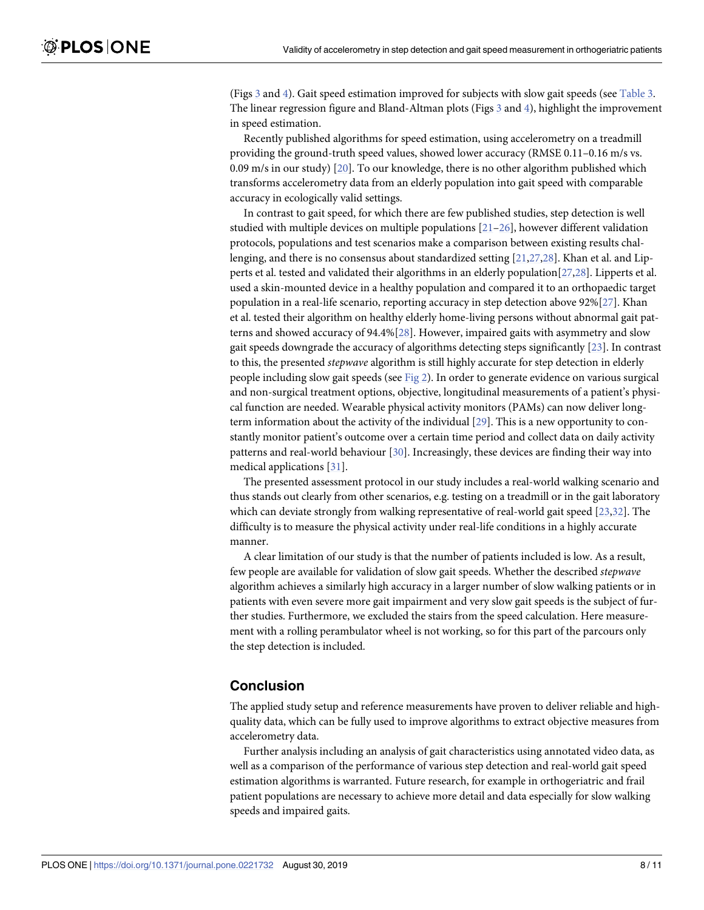<span id="page-7-0"></span>(Figs [3](#page-5-0) and [4\)](#page-6-0). Gait speed estimation improved for subjects with slow gait speeds (see [Table](#page-6-0) 3. The linear regression figure and Bland-Altman plots (Figs [3](#page-5-0) and [4\)](#page-6-0), highlight the improvement in speed estimation.

Recently published algorithms for speed estimation, using accelerometry on a treadmill providing the ground-truth speed values, showed lower accuracy (RMSE 0.11–0.16 m/s vs. 0.09 m/s in our study) [\[20\]](#page-9-0). To our knowledge, there is no other algorithm published which transforms accelerometry data from an elderly population into gait speed with comparable accuracy in ecologically valid settings.

In contrast to gait speed, for which there are few published studies, step detection is well studied with multiple devices on multiple populations  $[21-26]$  $[21-26]$  $[21-26]$ , however different validation protocols, populations and test scenarios make a comparison between existing results challenging, and there is no consensus about standardized setting [[21](#page-9-0),[27,28\]](#page-10-0). Khan et al. and Lipperts et al. tested and validated their algorithms in an elderly population[[27,28\]](#page-10-0). Lipperts et al. used a skin-mounted device in a healthy population and compared it to an orthopaedic target population in a real-life scenario, reporting accuracy in step detection above 92%[\[27\]](#page-10-0). Khan et al. tested their algorithm on healthy elderly home-living persons without abnormal gait patterns and showed accuracy of 94.4%[[28](#page-10-0)]. However, impaired gaits with asymmetry and slow gait speeds downgrade the accuracy of algorithms detecting steps significantly [\[23\]](#page-9-0). In contrast to this, the presented *stepwave* algorithm is still highly accurate for step detection in elderly people including slow gait speeds (see [Fig](#page-4-0) 2). In order to generate evidence on various surgical and non-surgical treatment options, objective, longitudinal measurements of a patient's physical function are needed. Wearable physical activity monitors (PAMs) can now deliver longterm information about the activity of the individual [\[29\]](#page-10-0). This is a new opportunity to constantly monitor patient's outcome over a certain time period and collect data on daily activity patterns and real-world behaviour [[30](#page-10-0)]. Increasingly, these devices are finding their way into medical applications [\[31\]](#page-10-0).

The presented assessment protocol in our study includes a real-world walking scenario and thus stands out clearly from other scenarios, e.g. testing on a treadmill or in the gait laboratory which can deviate strongly from walking representative of real-world gait speed [[23](#page-9-0),[32](#page-10-0)]. The difficulty is to measure the physical activity under real-life conditions in a highly accurate manner.

A clear limitation of our study is that the number of patients included is low. As a result, few people are available for validation of slow gait speeds. Whether the described *stepwave* algorithm achieves a similarly high accuracy in a larger number of slow walking patients or in patients with even severe more gait impairment and very slow gait speeds is the subject of further studies. Furthermore, we excluded the stairs from the speed calculation. Here measurement with a rolling perambulator wheel is not working, so for this part of the parcours only the step detection is included.

### **Conclusion**

The applied study setup and reference measurements have proven to deliver reliable and highquality data, which can be fully used to improve algorithms to extract objective measures from accelerometry data.

Further analysis including an analysis of gait characteristics using annotated video data, as well as a comparison of the performance of various step detection and real-world gait speed estimation algorithms is warranted. Future research, for example in orthogeriatric and frail patient populations are necessary to achieve more detail and data especially for slow walking speeds and impaired gaits.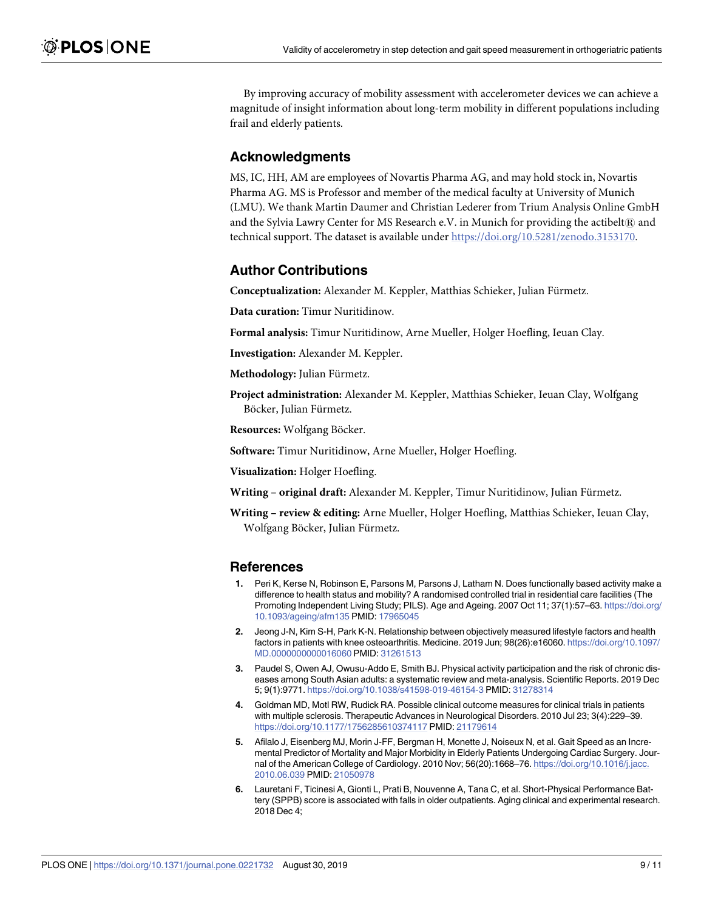<span id="page-8-0"></span>By improving accuracy of mobility assessment with accelerometer devices we can achieve a magnitude of insight information about long-term mobility in different populations including frail and elderly patients.

# **Acknowledgments**

MS, IC, HH, AM are employees of Novartis Pharma AG, and may hold stock in, Novartis Pharma AG. MS is Professor and member of the medical faculty at University of Munich (LMU). We thank Martin Daumer and Christian Lederer from Trium Analysis Online GmbH and the Sylvia Lawry Center for MS Research e.V. in Munich for providing the actibelt $\mathbb R$  and technical support. The dataset is available under <https://doi.org/10.5281/zenodo.3153170>.

### **Author Contributions**

**Conceptualization:** Alexander M. Keppler, Matthias Schieker, Julian Fürmetz.

**Data curation:** Timur Nuritidinow.

**Formal analysis:** Timur Nuritidinow, Arne Mueller, Holger Hoefling, Ieuan Clay.

**Investigation:** Alexander M. Keppler.

**Methodology:** Julian Fürmetz.

**Project administration:** Alexander M. Keppler, Matthias Schieker, Ieuan Clay, Wolfgang Böcker, Julian Fürmetz.

**Resources:** Wolfgang Böcker.

**Software:** Timur Nuritidinow, Arne Mueller, Holger Hoefling.

**Visualization:** Holger Hoefling.

**Writing** - original draft: Alexander M. Keppler, Timur Nuritidinow, Julian Fürmetz.

**Writing – review & editing:** Arne Mueller, Holger Hoefling, Matthias Schieker, Ieuan Clay, Wolfgang Böcker, Julian Fürmetz.

#### **References**

- **[1](#page-1-0).** Peri K, Kerse N, Robinson E, Parsons M, Parsons J, Latham N. Does functionally based activity make a difference to health status and mobility? A randomised controlled trial in residential care facilities (The Promoting Independent Living Study; PILS). Age and Ageing. 2007 Oct 11; 37(1):57–63. [https://doi.org/](https://doi.org/10.1093/ageing/afm135) [10.1093/ageing/afm135](https://doi.org/10.1093/ageing/afm135) PMID: [17965045](http://www.ncbi.nlm.nih.gov/pubmed/17965045)
- **[2](#page-1-0).** Jeong J-N, Kim S-H, Park K-N. Relationship between objectively measured lifestyle factors and health factors in patients with knee osteoarthritis. Medicine. 2019 Jun; 98(26):e16060. [https://doi.org/10.1097/](https://doi.org/10.1097/MD.0000000000016060) [MD.0000000000016060](https://doi.org/10.1097/MD.0000000000016060) PMID: [31261513](http://www.ncbi.nlm.nih.gov/pubmed/31261513)
- **[3](#page-1-0).** Paudel S, Owen AJ, Owusu-Addo E, Smith BJ. Physical activity participation and the risk of chronic diseases among South Asian adults: a systematic review and meta-analysis. Scientific Reports. 2019 Dec 5; 9(1):9771. <https://doi.org/10.1038/s41598-019-46154-3> PMID: [31278314](http://www.ncbi.nlm.nih.gov/pubmed/31278314)
- **[4](#page-1-0).** Goldman MD, Motl RW, Rudick RA. Possible clinical outcome measures for clinical trials in patients with multiple sclerosis. Therapeutic Advances in Neurological Disorders. 2010 Jul 23; 3(4):229–39. <https://doi.org/10.1177/1756285610374117> PMID: [21179614](http://www.ncbi.nlm.nih.gov/pubmed/21179614)
- **[5](#page-1-0).** Afilalo J, Eisenberg MJ, Morin J-FF, Bergman H, Monette J, Noiseux N, et al. Gait Speed as an Incremental Predictor of Mortality and Major Morbidity in Elderly Patients Undergoing Cardiac Surgery. Journal of the American College of Cardiology. 2010 Nov; 56(20):1668–76. [https://doi.org/10.1016/j.jacc.](https://doi.org/10.1016/j.jacc.2010.06.039) [2010.06.039](https://doi.org/10.1016/j.jacc.2010.06.039) PMID: [21050978](http://www.ncbi.nlm.nih.gov/pubmed/21050978)
- **[6](#page-1-0).** Lauretani F, Ticinesi A, Gionti L, Prati B, Nouvenne A, Tana C, et al. Short-Physical Performance Battery (SPPB) score is associated with falls in older outpatients. Aging clinical and experimental research. 2018 Dec 4;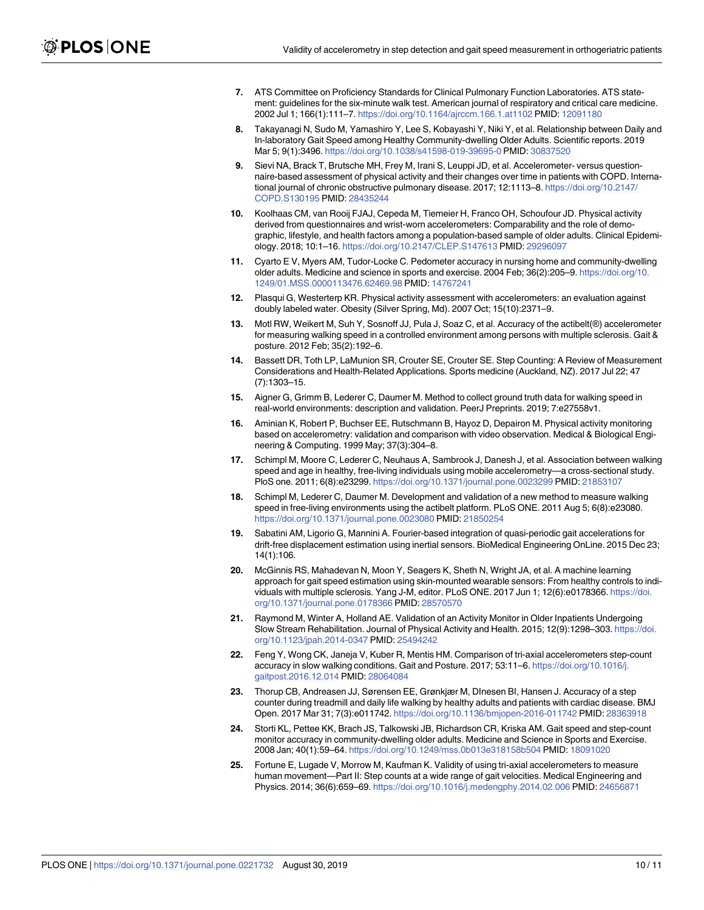- <span id="page-9-0"></span>**[7](#page-1-0).** ATS Committee on Proficiency Standards for Clinical Pulmonary Function Laboratories. ATS statement: guidelines for the six-minute walk test. American journal of respiratory and critical care medicine. 2002 Jul 1; 166(1):111–7. <https://doi.org/10.1164/ajrccm.166.1.at1102> PMID: [12091180](http://www.ncbi.nlm.nih.gov/pubmed/12091180)
- **[8](#page-1-0).** Takayanagi N, Sudo M, Yamashiro Y, Lee S, Kobayashi Y, Niki Y, et al. Relationship between Daily and In-laboratory Gait Speed among Healthy Community-dwelling Older Adults. Scientific reports. 2019 Mar 5; 9(1):3496. <https://doi.org/10.1038/s41598-019-39695-0> PMID: [30837520](http://www.ncbi.nlm.nih.gov/pubmed/30837520)
- **[9](#page-1-0).** Sievi NA, Brack T, Brutsche MH, Frey M, Irani S, Leuppi JD, et al. Accelerometer- versus questionnaire-based assessment of physical activity and their changes over time in patients with COPD. International journal of chronic obstructive pulmonary disease. 2017; 12:1113–8. [https://doi.org/10.2147/](https://doi.org/10.2147/COPD.S130195) [COPD.S130195](https://doi.org/10.2147/COPD.S130195) PMID: [28435244](http://www.ncbi.nlm.nih.gov/pubmed/28435244)
- **[10](#page-1-0).** Koolhaas CM, van Rooij FJAJ, Cepeda M, Tiemeier H, Franco OH, Schoufour JD. Physical activity derived from questionnaires and wrist-worn accelerometers: Comparability and the role of demographic, lifestyle, and health factors among a population-based sample of older adults. Clinical Epidemiology. 2018; 10:1–16. <https://doi.org/10.2147/CLEP.S147613> PMID: [29296097](http://www.ncbi.nlm.nih.gov/pubmed/29296097)
- **[11](#page-1-0).** Cyarto E V, Myers AM, Tudor-Locke C. Pedometer accuracy in nursing home and community-dwelling older adults. Medicine and science in sports and exercise. 2004 Feb; 36(2):205–9. [https://doi.org/10.](https://doi.org/10.1249/01.MSS.0000113476.62469.98) [1249/01.MSS.0000113476.62469.98](https://doi.org/10.1249/01.MSS.0000113476.62469.98) PMID: [14767241](http://www.ncbi.nlm.nih.gov/pubmed/14767241)
- **[12](#page-1-0).** Plasqui G, Westerterp KR. Physical activity assessment with accelerometers: an evaluation against doubly labeled water. Obesity (Silver Spring, Md). 2007 Oct; 15(10):2371–9.
- **[13](#page-1-0).** Motl RW, Weikert M, Suh Y, Sosnoff JJ, Pula J, Soaz C, et al. Accuracy of the actibelt(®) accelerometer for measuring walking speed in a controlled environment among persons with multiple sclerosis. Gait & posture. 2012 Feb; 35(2):192–6.
- **[14](#page-1-0).** Bassett DR, Toth LP, LaMunion SR, Crouter SE, Crouter SE. Step Counting: A Review of Measurement Considerations and Health-Related Applications. Sports medicine (Auckland, NZ). 2017 Jul 22; 47 (7):1303–15.
- **[15](#page-2-0).** Aigner G, Grimm B, Lederer C, Daumer M. Method to collect ground truth data for walking speed in real-world environments: description and validation. PeerJ Preprints. 2019; 7:e27558v1.
- **[16](#page-2-0).** Aminian K, Robert P, Buchser EE, Rutschmann B, Hayoz D, Depairon M. Physical activity monitoring based on accelerometry: validation and comparison with video observation. Medical & Biological Engineering & Computing. 1999 May; 37(3):304–8.
- **[17](#page-3-0).** Schimpl M, Moore C, Lederer C, Neuhaus A, Sambrook J, Danesh J, et al. Association between walking speed and age in healthy, free-living individuals using mobile accelerometry—a cross-sectional study. PloS one. 2011; 6(8):e23299. <https://doi.org/10.1371/journal.pone.0023299> PMID: [21853107](http://www.ncbi.nlm.nih.gov/pubmed/21853107)
- **[18](#page-4-0).** Schimpl M, Lederer C, Daumer M. Development and validation of a new method to measure walking speed in free-living environments using the actibelt platform. PLoS ONE. 2011 Aug 5; 6(8):e23080. <https://doi.org/10.1371/journal.pone.0023080> PMID: [21850254](http://www.ncbi.nlm.nih.gov/pubmed/21850254)
- **[19](#page-4-0).** Sabatini AM, Ligorio G, Mannini A. Fourier-based integration of quasi-periodic gait accelerations for drift-free displacement estimation using inertial sensors. BioMedical Engineering OnLine. 2015 Dec 23; 14(1):106.
- **[20](#page-7-0).** McGinnis RS, Mahadevan N, Moon Y, Seagers K, Sheth N, Wright JA, et al. A machine learning approach for gait speed estimation using skin-mounted wearable sensors: From healthy controls to individuals with multiple sclerosis. Yang J-M, editor. PLoS ONE. 2017 Jun 1; 12(6):e0178366. [https://doi.](https://doi.org/10.1371/journal.pone.0178366) [org/10.1371/journal.pone.0178366](https://doi.org/10.1371/journal.pone.0178366) PMID: [28570570](http://www.ncbi.nlm.nih.gov/pubmed/28570570)
- **[21](#page-7-0).** Raymond M, Winter A, Holland AE. Validation of an Activity Monitor in Older Inpatients Undergoing Slow Stream Rehabilitation. Journal of Physical Activity and Health. 2015; 12(9):1298–303. [https://doi.](https://doi.org/10.1123/jpah.2014-0347) [org/10.1123/jpah.2014-0347](https://doi.org/10.1123/jpah.2014-0347) PMID: [25494242](http://www.ncbi.nlm.nih.gov/pubmed/25494242)
- **22.** Feng Y, Wong CK, Janeja V, Kuber R, Mentis HM. Comparison of tri-axial accelerometers step-count accuracy in slow walking conditions. Gait and Posture. 2017; 53:11–6. [https://doi.org/10.1016/j.](https://doi.org/10.1016/j.gaitpost.2016.12.014) [gaitpost.2016.12.014](https://doi.org/10.1016/j.gaitpost.2016.12.014) PMID: [28064084](http://www.ncbi.nlm.nih.gov/pubmed/28064084)
- **[23](#page-7-0).** Thorup CB, Andreasen JJ, Sørensen EE, Grønkjær M, DInesen BI, Hansen J. Accuracy of a step counter during treadmill and daily life walking by healthy adults and patients with cardiac disease. BMJ Open. 2017 Mar 31; 7(3):e011742. <https://doi.org/10.1136/bmjopen-2016-011742> PMID: [28363918](http://www.ncbi.nlm.nih.gov/pubmed/28363918)
- **24.** Storti KL, Pettee KK, Brach JS, Talkowski JB, Richardson CR, Kriska AM. Gait speed and step-count monitor accuracy in community-dwelling older adults. Medicine and Science in Sports and Exercise. 2008 Jan; 40(1):59–64. <https://doi.org/10.1249/mss.0b013e318158b504> PMID: [18091020](http://www.ncbi.nlm.nih.gov/pubmed/18091020)
- **25.** Fortune E, Lugade V, Morrow M, Kaufman K. Validity of using tri-axial accelerometers to measure human movement—Part II: Step counts at a wide range of gait velocities. Medical Engineering and Physics. 2014; 36(6):659–69. <https://doi.org/10.1016/j.medengphy.2014.02.006> PMID: [24656871](http://www.ncbi.nlm.nih.gov/pubmed/24656871)